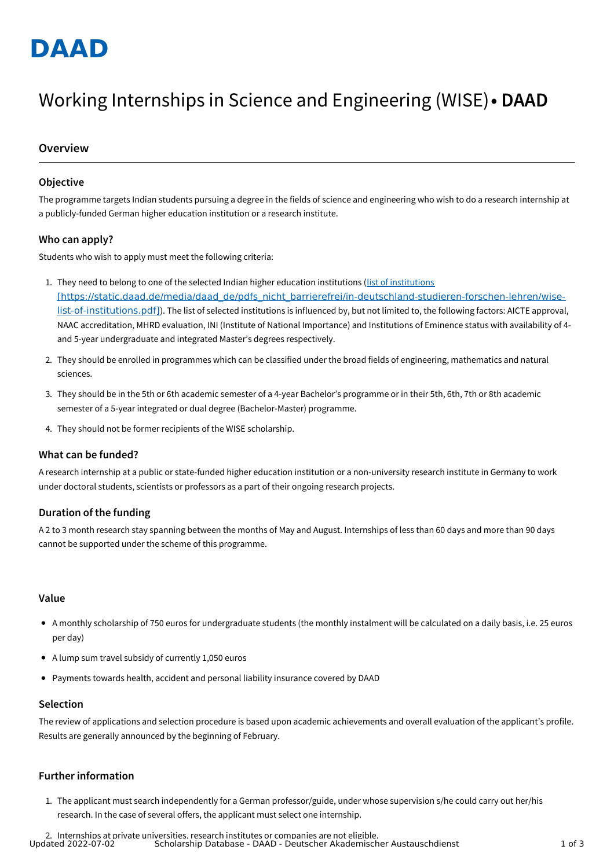

# Working Internships in Science and Engineering (WISE)**• DAAD**

### **Overview**

#### **Objective**

The programme targets Indian students pursuing a degree in the fields of science and engineering who wish to do a research internship at a publicly-funded German higher education institution or a research institute.

#### **Who can apply?**

Students who wish to apply must meet the following criteria:

- 1. They need to belong to one of the selected Indian higher education institutions (list of institutions [\[https://static.daad.de/media/daad\\_de/pdfs\\_nicht\\_barrierefrei/in-deutschland-studieren-forschen-lehren/wise](https://static.daad.de/media/daad_de/pdfs_nicht_barrierefrei/in-deutschland-studieren-forschen-lehren/wise-list-of-institutions.pdf)list-of-institutions.pdf]). The list of selected institutions is influenced by, but not limited to, the following factors: AICTE approval, NAAC accreditation, MHRD evaluation, INI (Institute of National Importance) and Institutions of Eminence status with availability of 4 and 5-year undergraduate and integrated Master's degrees respectively.
- 2. They should be enrolled in programmes which can be classified under the broad fields of engineering, mathematics and natural sciences.
- 3. They should be in the 5th or 6th academic semester of a 4-year Bachelor's programme or in their 5th, 6th, 7th or 8th academic semester of a 5-year integrated or dual degree (Bachelor-Master) programme.
- 4. They should not be former recipients of the WISE scholarship.

#### **What can be funded?**

A research internship at a public or state-funded higher education institution or a non-university research institute in Germany to work under doctoral students, scientists or professors as a part of their ongoing research projects.

#### **Duration of the funding**

A 2 to 3 month research stay spanning between the months of May and August. Internships of less than 60 days and more than 90 days cannot be supported under the scheme of this programme.

#### **Value**

- A monthly scholarship of 750 euros for undergraduate students (the monthly instalment will be calculated on a daily basis, i.e. 25 euros per day)
- A lump sum travel subsidy of currently 1,050 euros
- Payments towards health, accident and personal liability insurance covered by DAAD

#### **Selection**

The review of applications and selection procedure is based upon academic achievements and overall evaluation of the applicant's profile. Results are generally announced by the beginning of February.

#### **Further information**

1. The applicant must search independently for a German professor/guide, under whose supervision s/he could carry out her/his research. In the case of several offers, the applicant must select one internship.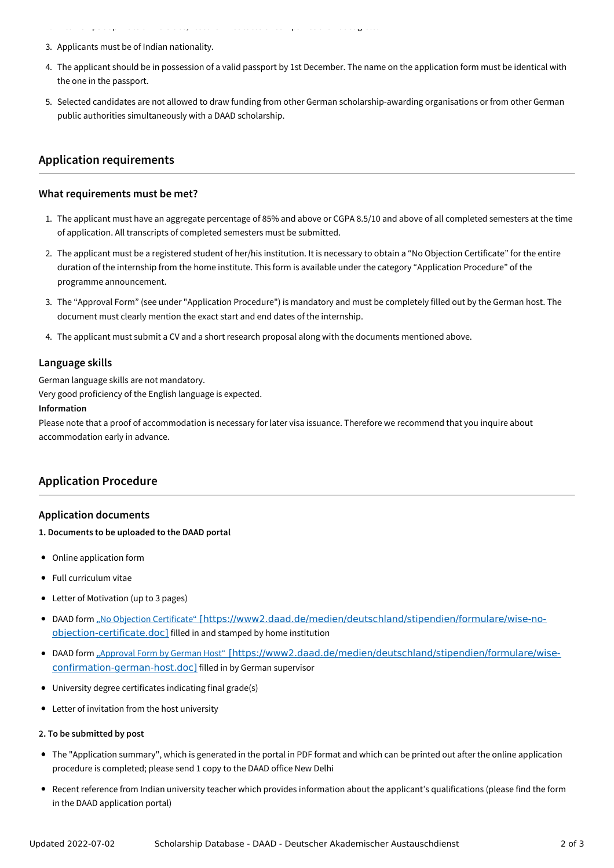3. Applicants must be of Indian nationality.

2. Internships at private universities, research institutes or companies are not eligible.

- 4. The applicant should be in possession of a valid passport by 1st December. The name on the application form must be identical with the one in the passport.
- 5. Selected candidates are not allowed to draw funding from other German scholarship-awarding organisations or from other German public authorities simultaneously with a DAAD scholarship.

# **Application requirements**

#### **What requirements must be met?**

- 1. The applicant must have an aggregate percentage of 85% and above or CGPA 8.5/10 and above of all completed semesters at the time of application. All transcripts of completed semesters must be submitted.
- 2. The applicant must be a registered student of her/his institution. It is necessary to obtain a "No Objection Certificate" for the entire duration of the internship from the home institute. This form is available under the category "Application Procedure" of the programme announcement.
- 3. The "Approval Form" (see under "Application Procedure") is mandatory and must be completely filled out by the German host. The document must clearly mention the exact start and end dates of the internship.
- 4. The applicant must submit a CV and a short research proposal along with the documents mentioned above.

#### **Language skills**

German language skills are not mandatory.

Very good proficiency of the English language is expected.

#### **Information**

Please note that a proof of accommodation is necessary for later visa issuance. Therefore we recommend that you inquire about accommodation early in advance.

# **Application Procedure**

#### **Application documents**

#### **1. Documents to be uploaded to the DAAD portal**

- Online application form
- Full curriculum vitae
- Letter of Motivation (up to 3 pages)
- DAAD form "No Objection Certificate" [\[https://www2.daad.de/medien/deutschland/stipendien/formulare/wise-no](https://www2.daad.de/medien/deutschland/stipendien/formulare/wise-no-objection-certificate.doc)objection-certificate.doc] filled in and stamped by home institution
- DAAD form "Approval Form by German Host" [\[https://www2.daad.de/medien/deutschland/stipendien/formulare/wise](https://www2.daad.de/medien/deutschland/stipendien/formulare/wise-confirmation-german-host.doc)confirmation-german-host.doc] filled in by German supervisor
- University degree certificates indicating final grade(s)
- Letter of invitation from the host university

#### **2. To be submitted by post**

- The "Application summary", which is generated in the portal in PDF format and which can be printed out after the online application procedure is completed; please send 1 copy to the DAAD office New Delhi
- Recent reference from Indian university teacher which provides information about the applicant's qualifications (please find the form in the DAAD application portal)